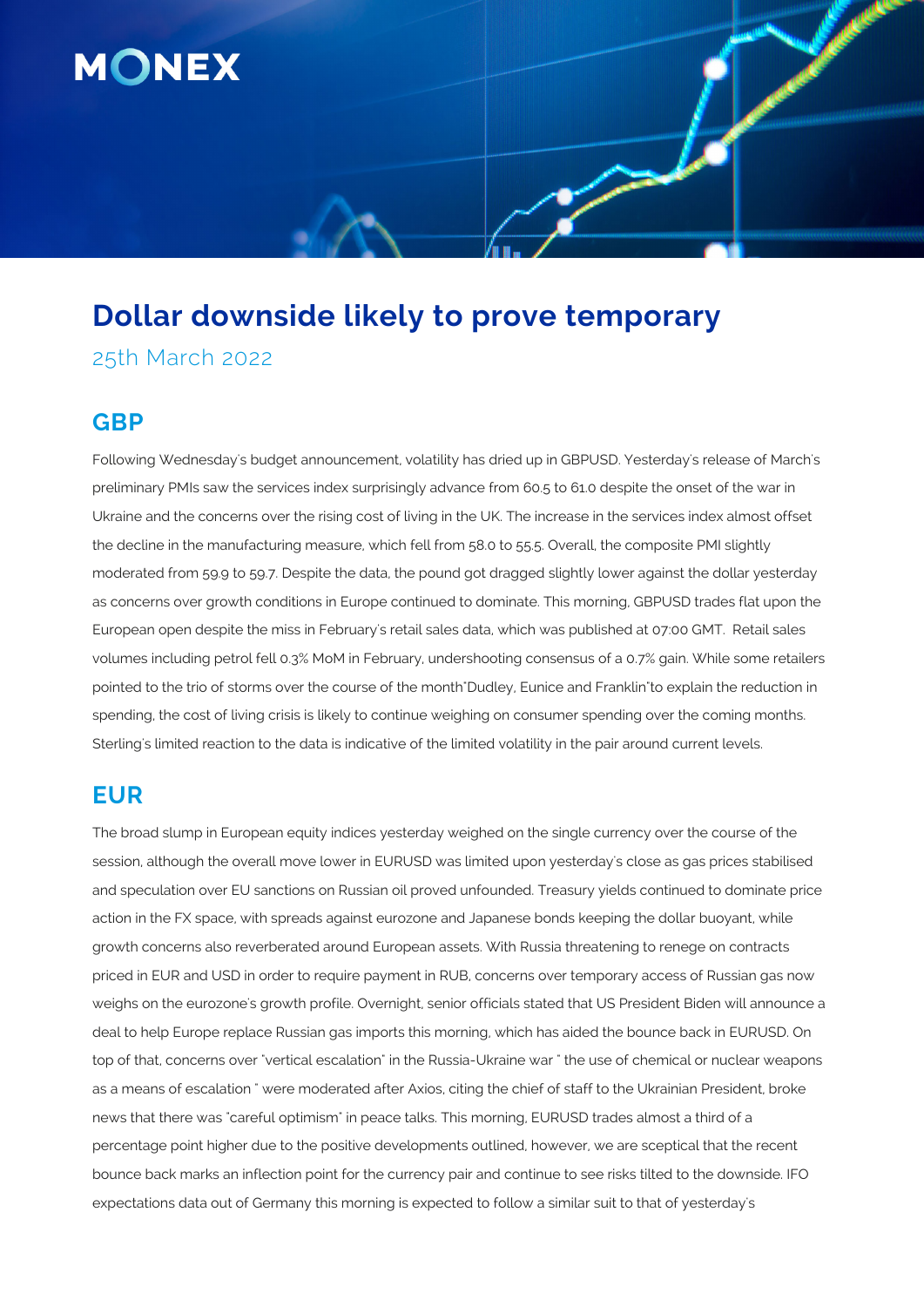

# **Dollar downside likely to prove temporary**

25th March 2022

### **GBP**

Following Wednesday's budget announcement, volatility has dried up in GBPUSD. Yesterday's release of March's preliminary PMIs saw the services index surprisingly advance from 60.5 to 61.0 despite the onset of the war in Ukraine and the concerns over the rising cost of living in the UK. The increase in the services index almost offset the decline in the manufacturing measure, which fell from 58.0 to 55.5. Overall, the composite PMI slightly moderated from 59.9 to 59.7. Despite the data, the pound got dragged slightly lower against the dollar yesterday as concerns over growth conditions in Europe continued to dominate. This morning, GBPUSD trades flat upon the European open despite the miss in February's retail sales data, which was published at 07:00 GMT. Retail sales volumes including petrol fell 0.3% MoM in February, undershooting consensus of a 0.7% gain. While some retailers pointed to the trio of storms over the course of the month"Dudley, Eunice and Franklin"to explain the reduction in spending, the cost of living crisis is likely to continue weighing on consumer spending over the coming months. Sterling's limited reaction to the data is indicative of the limited volatility in the pair around current levels.

## **EUR**

The broad slump in European equity indices yesterday weighed on the single currency over the course of the session, although the overall move lower in EURUSD was limited upon yesterday's close as gas prices stabilised and speculation over EU sanctions on Russian oil proved unfounded. Treasury yields continued to dominate price action in the FX space, with spreads against eurozone and Japanese bonds keeping the dollar buoyant, while growth concerns also reverberated around European assets. With Russia threatening to renege on contracts priced in EUR and USD in order to require payment in RUB, concerns over temporary access of Russian gas now weighs on the eurozone's growth profile. Overnight, senior officials stated that US President Biden will announce a deal to help Europe replace Russian gas imports this morning, which has aided the bounce back in EURUSD. On top of that, concerns over "vertical escalation" in the Russia-Ukraine war " the use of chemical or nuclear weapons as a means of escalation " were moderated after Axios, citing the chief of staff to the Ukrainian President, broke news that there was "careful optimism" in peace talks. This morning, EURUSD trades almost a third of a percentage point higher due to the positive developments outlined, however, we are sceptical that the recent bounce back marks an inflection point for the currency pair and continue to see risks tilted to the downside. IFO expectations data out of Germany this morning is expected to follow a similar suit to that of yesterday's